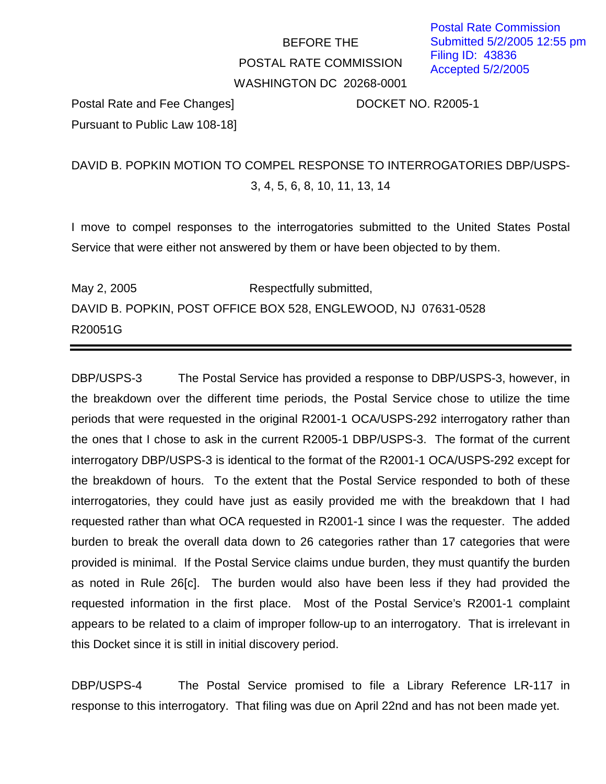## BEFORE THE POSTAL RATE COMMISSION WASHINGTON DC 20268-0001

Postal Rate and Fee Changes] DOCKET NO. R2005-1 Pursuant to Public Law 108-18]

## DAVID B. POPKIN MOTION TO COMPEL RESPONSE TO INTERROGATORIES DBP/USPS-3, 4, 5, 6, 8, 10, 11, 13, 14

I move to compel responses to the interrogatories submitted to the United States Postal Service that were either not answered by them or have been objected to by them.

May 2, 2005 Respectfully submitted, DAVID B. POPKIN, POST OFFICE BOX 528, ENGLEWOOD, NJ 07631-0528 R20051G

DBP/USPS-3 The Postal Service has provided a response to DBP/USPS-3, however, in the breakdown over the different time periods, the Postal Service chose to utilize the time periods that were requested in the original R2001-1 OCA/USPS-292 interrogatory rather than the ones that I chose to ask in the current R2005-1 DBP/USPS-3. The format of the current interrogatory DBP/USPS-3 is identical to the format of the R2001-1 OCA/USPS-292 except for the breakdown of hours. To the extent that the Postal Service responded to both of these interrogatories, they could have just as easily provided me with the breakdown that I had requested rather than what OCA requested in R2001-1 since I was the requester. The added burden to break the overall data down to 26 categories rather than 17 categories that were provided is minimal. If the Postal Service claims undue burden, they must quantify the burden as noted in Rule 26[c]. The burden would also have been less if they had provided the requested information in the first place. Most of the Postal Service's R2001-1 complaint appears to be related to a claim of improper follow-up to an interrogatory. That is irrelevant in this Docket since it is still in initial discovery period.

DBP/USPS-4 The Postal Service promised to file a Library Reference LR-117 in response to this interrogatory. That filing was due on April 22nd and has not been made yet.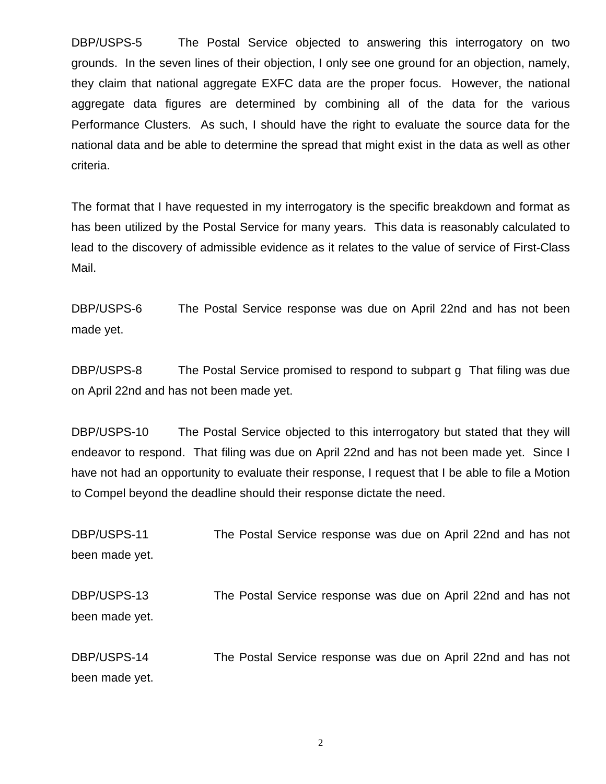DBP/USPS-5 The Postal Service objected to answering this interrogatory on two grounds. In the seven lines of their objection, I only see one ground for an objection, namely, they claim that national aggregate EXFC data are the proper focus. However, the national aggregate data figures are determined by combining all of the data for the various Performance Clusters. As such, I should have the right to evaluate the source data for the national data and be able to determine the spread that might exist in the data as well as other criteria.

The format that I have requested in my interrogatory is the specific breakdown and format as has been utilized by the Postal Service for many years. This data is reasonably calculated to lead to the discovery of admissible evidence as it relates to the value of service of First-Class Mail.

DBP/USPS-6 The Postal Service response was due on April 22nd and has not been made yet.

DBP/USPS-8 The Postal Service promised to respond to subpart g That filing was due on April 22nd and has not been made yet.

DBP/USPS-10 The Postal Service objected to this interrogatory but stated that they will endeavor to respond. That filing was due on April 22nd and has not been made yet. Since I have not had an opportunity to evaluate their response, I request that I be able to file a Motion to Compel beyond the deadline should their response dictate the need.

DBP/USPS-11 The Postal Service response was due on April 22nd and has not been made yet. DBP/USPS-13 The Postal Service response was due on April 22nd and has not been made yet. DBP/USPS-14 The Postal Service response was due on April 22nd and has not been made yet.